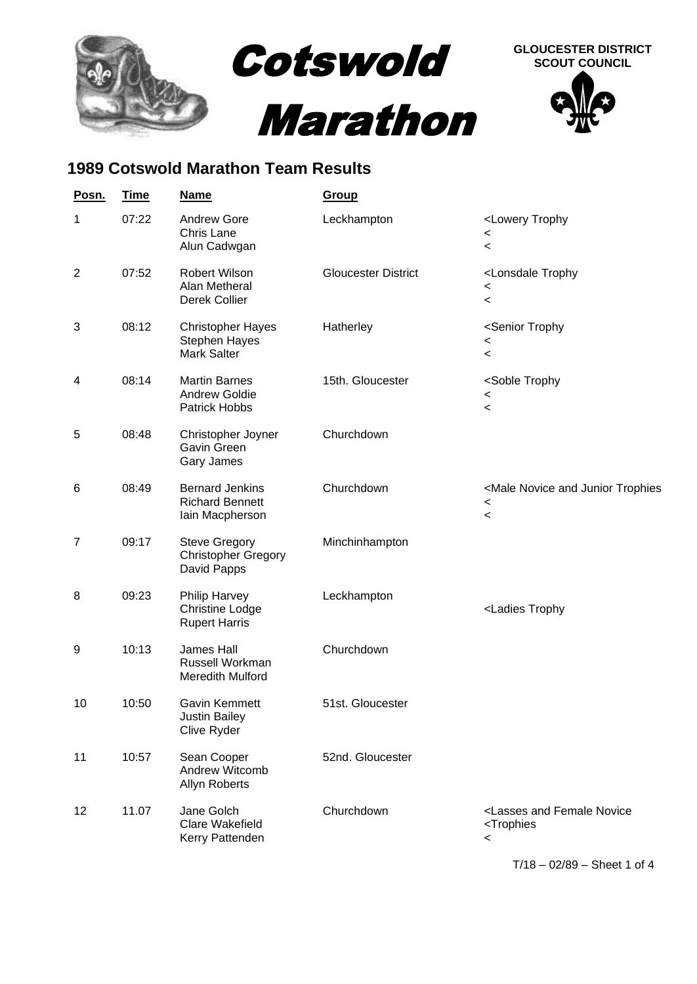

## **1989 Cotswold Marathon Team Results**

| Posn.          | <b>Time</b> | <b>Name</b>                                                            | <b>Group</b>               |                                                                                                                      |
|----------------|-------------|------------------------------------------------------------------------|----------------------------|----------------------------------------------------------------------------------------------------------------------|
| $\mathbf{1}$   | 07:22       | <b>Andrew Gore</b><br>Chris Lane<br>Alun Cadwgan                       | Leckhampton                | <lowery trophy<br=""><math>\,&lt;\,</math><br/><math display="inline">\,&lt;</math></lowery>                         |
| $\overline{2}$ | 07:52       | Robert Wilson<br>Alan Metheral<br>Derek Collier                        | <b>Gloucester District</b> | <lonsdale trophy<br=""><math>\,&lt;\,</math><br/><math>\,&lt;\,</math></lonsdale>                                    |
| 3              | 08:12       | <b>Christopher Hayes</b><br>Stephen Hayes<br><b>Mark Salter</b>        | Hatherley                  | <senior trophy<br=""><math>\,&lt;\,</math><br/><math>\,&lt;\,</math></senior>                                        |
| 4              | 08:14       | <b>Martin Barnes</b><br><b>Andrew Goldie</b><br><b>Patrick Hobbs</b>   | 15th. Gloucester           | <soble trophy<br=""><math>\,&lt;\,</math><br/><math display="inline">\,&lt;</math></soble>                           |
| 5              | 08:48       | Christopher Joyner<br>Gavin Green<br>Gary James                        | Churchdown                 |                                                                                                                      |
| 6              | 08:49       | <b>Bernard Jenkins</b><br><b>Richard Bennett</b><br>Iain Macpherson    | Churchdown                 | <male and="" junior="" novice="" trophies<br=""><math>\,&lt;\,</math><br/><math>\overline{\phantom{0}}</math></male> |
| $\overline{7}$ | 09:17       | <b>Steve Gregory</b><br><b>Christopher Gregory</b><br>David Papps      | Minchinhampton             |                                                                                                                      |
| 8              | 09:23       | <b>Philip Harvey</b><br><b>Christine Lodge</b><br><b>Rupert Harris</b> | Leckhampton                | <ladies td="" trophy<=""></ladies>                                                                                   |
| 9              | 10:13       | <b>James Hall</b><br>Russell Workman<br>Meredith Mulford               | Churchdown                 |                                                                                                                      |
| 10             | 10:50       | <b>Gavin Kemmett</b><br><b>Justin Bailey</b><br>Clive Ryder            | 51st. Gloucester           |                                                                                                                      |
| 11             | 10:57       | Sean Cooper<br>Andrew Witcomb<br>Allyn Roberts                         | 52nd. Gloucester           |                                                                                                                      |
| 12             | 11.07       | Jane Golch<br><b>Clare Wakefield</b><br>Kerry Pattenden                | Churchdown                 | <lasses and="" female="" novice<br=""><trophies<br><math>\,&lt;\,</math></trophies<br></lasses>                      |

T/18 – 02/89 – Sheet 1 of 4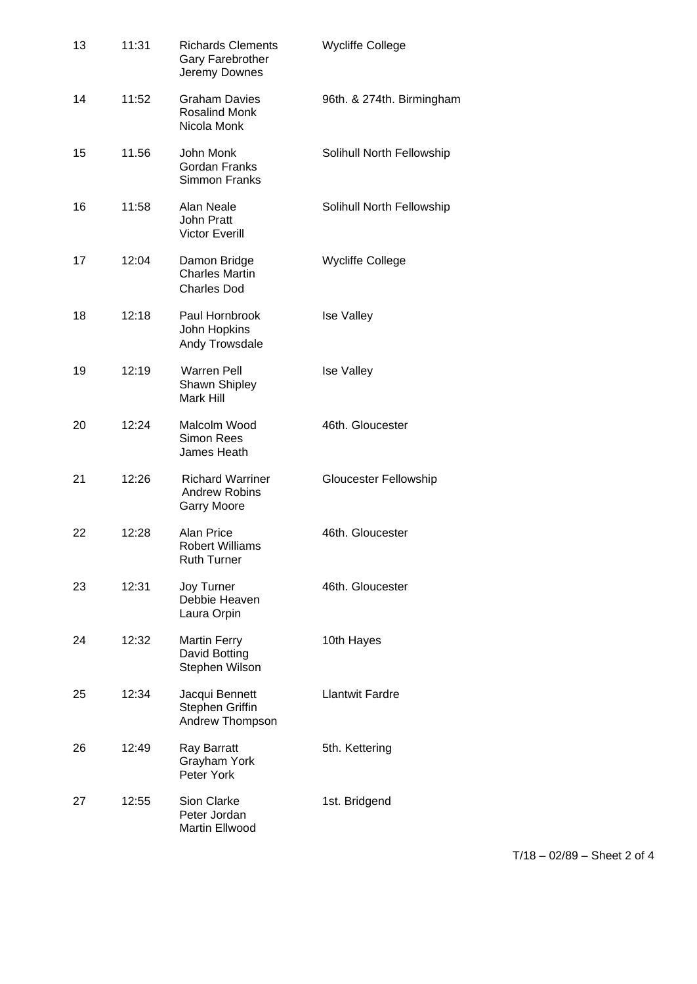| 13 | 11:31 | <b>Richards Clements</b><br>Gary Farebrother<br>Jeremy Downes         | <b>Wycliffe College</b>   |
|----|-------|-----------------------------------------------------------------------|---------------------------|
| 14 | 11:52 | <b>Graham Davies</b><br><b>Rosalind Monk</b><br>Nicola Monk           | 96th. & 274th. Birmingham |
| 15 | 11.56 | John Monk<br><b>Gordan Franks</b><br>Simmon Franks                    | Solihull North Fellowship |
| 16 | 11:58 | Alan Neale<br><b>John Pratt</b><br><b>Victor Everill</b>              | Solihull North Fellowship |
| 17 | 12:04 | Damon Bridge<br><b>Charles Martin</b><br><b>Charles Dod</b>           | <b>Wycliffe College</b>   |
| 18 | 12:18 | Paul Hornbrook<br>John Hopkins<br>Andy Trowsdale                      | <b>Ise Valley</b>         |
| 19 | 12:19 | <b>Warren Pell</b><br>Shawn Shipley<br>Mark Hill                      | <b>Ise Valley</b>         |
| 20 | 12:24 | Malcolm Wood<br><b>Simon Rees</b><br>James Heath                      | 46th. Gloucester          |
| 21 | 12:26 | <b>Richard Warriner</b><br><b>Andrew Robins</b><br><b>Garry Moore</b> | Gloucester Fellowship     |
| 22 | 12:28 | Alan Price<br><b>Robert Williams</b><br>Ruth Turner                   | 46th. Gloucester          |
| 23 | 12:31 | Joy Turner<br>Debbie Heaven<br>Laura Orpin                            | 46th. Gloucester          |
| 24 | 12:32 | <b>Martin Ferry</b><br>David Botting<br>Stephen Wilson                | 10th Hayes                |
| 25 | 12:34 | Jacqui Bennett<br>Stephen Griffin<br>Andrew Thompson                  | <b>Llantwit Fardre</b>    |
| 26 | 12:49 | Ray Barratt<br>Grayham York<br>Peter York                             | 5th. Kettering            |
| 27 | 12:55 | Sion Clarke<br>Peter Jordan<br>Martin Ellwood                         | 1st. Bridgend             |

T/18 – 02/89 – Sheet 2 of 4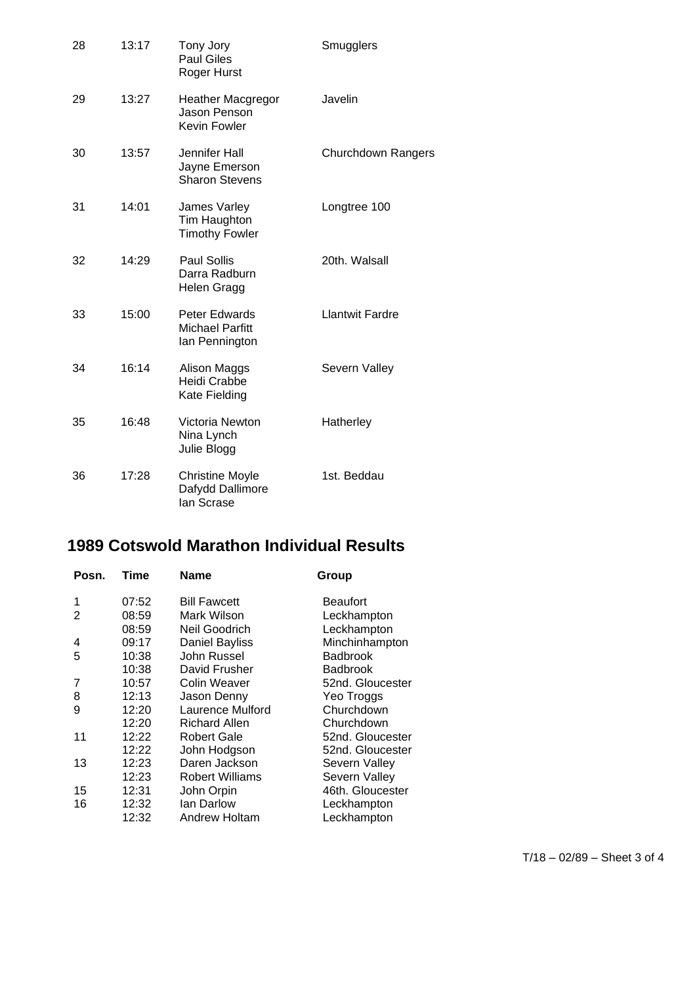| 28 | 13:17 | Tony Jory<br><b>Paul Giles</b><br>Roger Hurst             | Smugglers                 |
|----|-------|-----------------------------------------------------------|---------------------------|
| 29 | 13:27 | <b>Heather Macgregor</b><br>Jason Penson<br>Kevin Fowler  | Javelin                   |
| 30 | 13:57 | Jennifer Hall<br>Jayne Emerson<br><b>Sharon Stevens</b>   | <b>Churchdown Rangers</b> |
| 31 | 14:01 | James Varley<br>Tim Haughton<br><b>Timothy Fowler</b>     | Longtree 100              |
| 32 | 14:29 | <b>Paul Sollis</b><br>Darra Radburn<br>Helen Gragg        | 20th. Walsall             |
| 33 | 15:00 | Peter Edwards<br><b>Michael Parfitt</b><br>lan Pennington | <b>Llantwit Fardre</b>    |
| 34 | 16:14 | Alison Maggs<br>Heidi Crabbe<br>Kate Fielding             | Severn Valley             |
| 35 | 16:48 | Victoria Newton<br>Nina Lynch<br>Julie Blogg              | Hatherley                 |
| 36 | 17:28 | <b>Christine Moyle</b><br>Dafydd Dallimore<br>lan Scrase  | 1st. Beddau               |

## **1989 Cotswold Marathon Individual Results**

| Posn. | Time  | Name                   | Group            |
|-------|-------|------------------------|------------------|
| 1     | 07:52 | <b>Bill Fawcett</b>    | <b>Beaufort</b>  |
| 2     | 08:59 | Mark Wilson            | Leckhampton      |
|       | 08:59 | Neil Goodrich          | Leckhampton      |
| 4     | 09:17 | <b>Daniel Bayliss</b>  | Minchinhampton   |
| 5     | 10:38 | John Russel            | <b>Badbrook</b>  |
|       | 10:38 | David Frusher          | <b>Badbrook</b>  |
| 7     | 10:57 | Colin Weaver           | 52nd. Gloucester |
| 8     | 12:13 | Jason Denny            | Yeo Troggs       |
| 9     | 12:20 | Laurence Mulford       | Churchdown       |
|       | 12:20 | <b>Richard Allen</b>   | Churchdown       |
| 11    | 12:22 | Robert Gale            | 52nd. Gloucester |
|       | 12:22 | John Hodgson           | 52nd. Gloucester |
| 13    | 12:23 | Daren Jackson          | Severn Valley    |
|       | 12:23 | <b>Robert Williams</b> | Severn Valley    |
| 15    | 12:31 | John Orpin             | 46th. Gloucester |
| 16    | 12:32 | lan Darlow             | Leckhampton      |
|       | 12:32 | Andrew Holtam          | Leckhampton      |
|       |       |                        |                  |

T/18 – 02/89 – Sheet 3 of 4